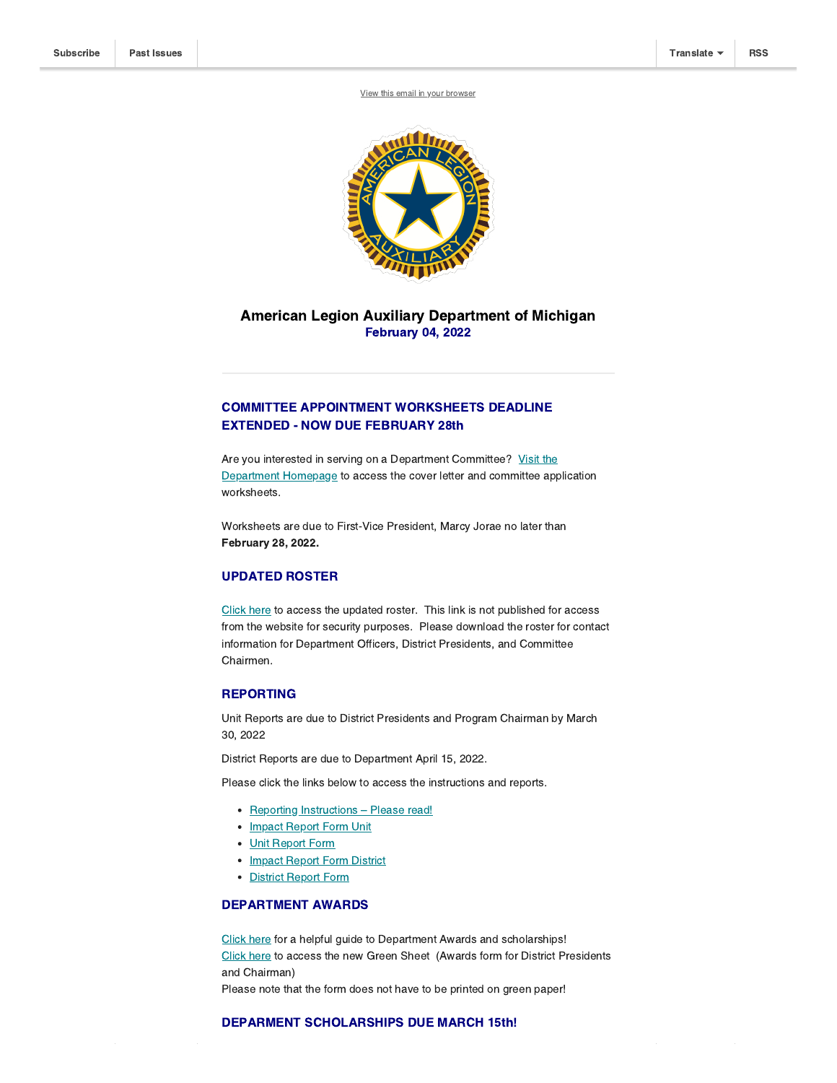View this email in your [browser](https://mailchi.mp/1ff9c5ef56da/impact-reports-due-15851966?e=[UNIQID])



# American Legion Auxiliary Department of Michigan February 04, 2022

## COMMITTEE APPOINTMENT WORKSHEETS DEADLINE EXTENDED - NOW DUE FEBRUARY 28th

Are you interested in serving on a Department [Committee?](http://https//michalaux.org/) Visit the Department Homepage to access the cover letter and committee application worksheets.

Worksheets are due to First-Vice President, Marcy Jorae no later than February 28, 2022.

### UPDATED ROSTER

[Click](https://michalaux.org/wp-content/uploads/2021/12/2021-2022-Department-Roster.pdf) here to access the updated roster. This link is not published for access from the website for security purposes. Please download the roster for contact information for Department Officers, District Presidents, and Committee Chairmen.

## REPORTING

Unit Reports are due to District Presidents and Program Chairman by March 30, 2022

District Reports are due to Department April 15, 2022.

Please click the links below to access the instructions and reports.

- Reporting Instructions Please read!
- Impact Report Form Unit
- Unit Report Form
- Impact Report Form District
- District Report Form

#### DEPARTMENT AWARDS

[Click](https://michalaux.org/wp-content/uploads/2021/09/Department-Awards-Guide-21-22.pdf) here for a helpful guide to Department Awards and scholarships! [Click](https://michalaux.org/wp-content/uploads/2022/02/Green-Sheet-2022.pdf) here to access the new Green Sheet (Awards form for District Presidents and Chairman) Please note that the form does not have to be printed on green paper!

## DEPARMENT SCHOLARSHIPS DUE MARCH 15th!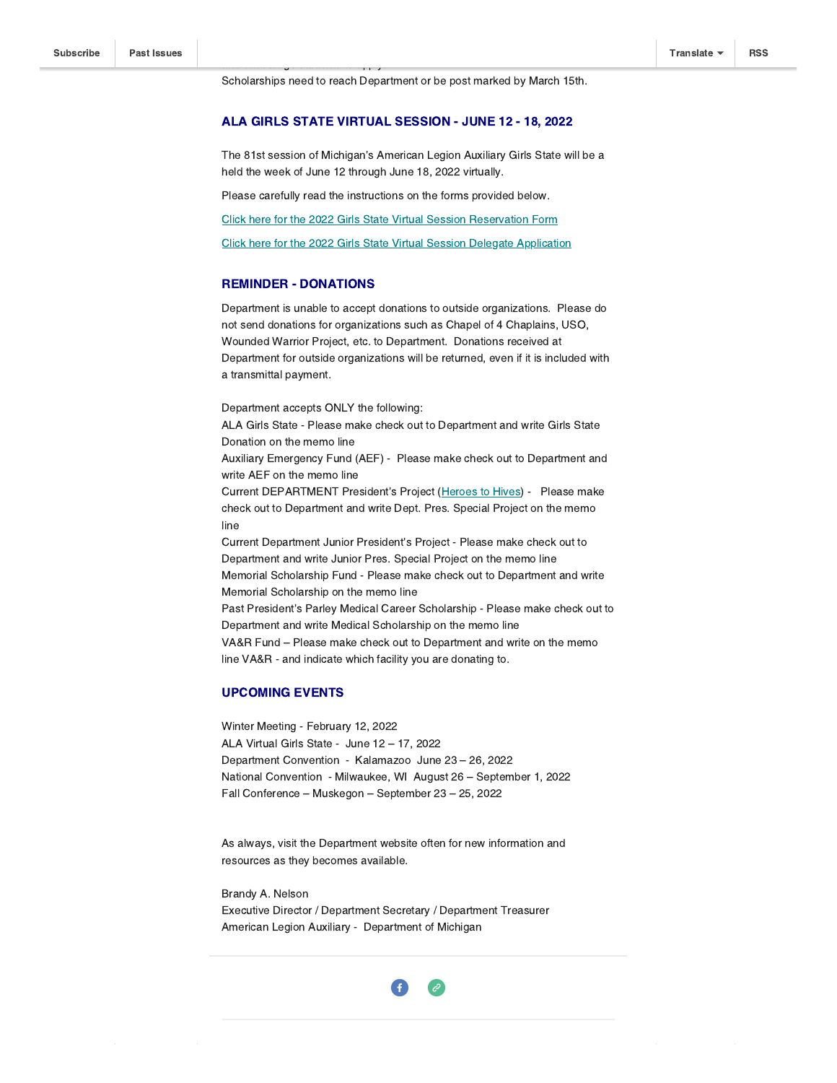Scholarships need to reach Department or be post marked by March 15th.

### ALA GIRLS STATE VIRTUAL SESSION - JUNE 12 - 18, 2022

The 81st session of Michigan's American Legion Auxiliary Girls State will be a held the week of June 12 through June 18, 2022 virtually.

Please carefully read the instructions on the forms provided below.

Click here for the 2022 Girls State Virtual Session [Reservation](https://michalaux.org/wp-content/uploads/2022/01/2022-Girls-State-Reservation-Form.pdf) Form

Click here for the 2022 Girls State Virtual Session Delegate [Application](https://michalaux.org/wp-content/uploads/2022/01/2022-Girls-State-Delegate-Application.pdf)

### REMINDER - DONATIONS

Department is unable to accept donations to outside organizations. Please do not send donations for organizations such as Chapel of 4 Chaplains, USO, Wounded Warrior Project, etc. to Department. Donations received at Department for outside organizations will be returned, even if it is included with a transmittal payment.

Department accepts ONLY the following: ALA Girls State - Please make check out to Department and write Girls State Donation on the memo line Auxiliary Emergency Fund (AEF) - Please make check out to Department and write AEF on the memo line Current DEPARTMENT President's Project ([Heroes](https://www.canr.msu.edu/veterans/Veterans-Programming/Heroes-to-Hives/index) to Hives) - Please make check out to Department and write Dept. Pres. Special Project on the memo line Current Department Junior President's Project - Please make check out to Department and write Junior Pres. Special Project on the memo line Memorial Scholarship Fund - Please make check out to Department and write Memorial Scholarship on the memo line Past President's Parley Medical Career Scholarship - Please make check out to Department and write Medical Scholarship on the memo line VA&R Fund – Please make check out to Department and write on the memo

### UPCOMING EVENTS

Winter Meeting - February 12, 2022 ALA Virtual Girls State - June 12 – 17, 2022 Department Convention - Kalamazoo June 23 – 26, 2022 National Convention - Milwaukee, WI August 26 – September 1, 2022 Fall Conference – Muskegon – September 23 – 25, 2022

line VA&R - and indicate which facility you are donating to.

As always, visit the Department website often for new information and resources as they becomes available.

Brandy A. Nelson Executive Director / Department Secretary / Department Treasurer American Legion Auxiliary - Department of Michigan